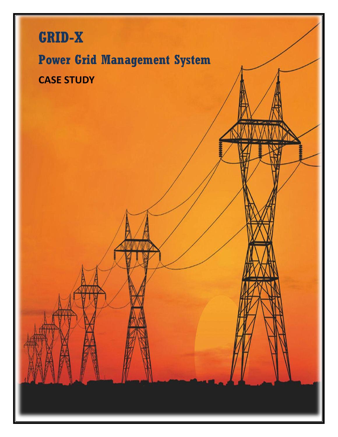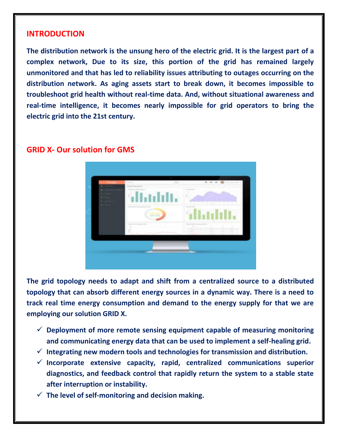#### **INTRODUCTION**

**The distribution network is the unsung hero of the electric grid. It is the largest part of a complex network, Due to its size, this portion of the grid has remained largely unmonitored and that has led to reliability issues attributing to outages occurring on the distribution network. As aging assets start to break down, it becomes impossible to troubleshoot grid health without real-time data. And, without situational awareness and real-time intelligence, it becomes nearly impossible for grid operators to bring the electric grid into the 21st century.**

#### **GRID X- Our solution for GMS**



**The grid topology needs to adapt and shift from a centralized source to a distributed topology that can absorb different energy sources in a dynamic way. There is a need to track real time energy consumption and demand to the energy supply for that we are employing our solution GRID X.**

- **Deployment of more remote sensing equipment capable of measuring monitoring and communicating energy data that can be used to implement a self-healing grid.**
- **Integrating new modern tools and technologies for transmission and distribution.**
- $\checkmark$  Incorporate extensive capacity, rapid, centralized communications superior **diagnostics, and feedback control that rapidly return the system to a stable state after interruption or instability.**
- **The level of self-monitoring and decision making.**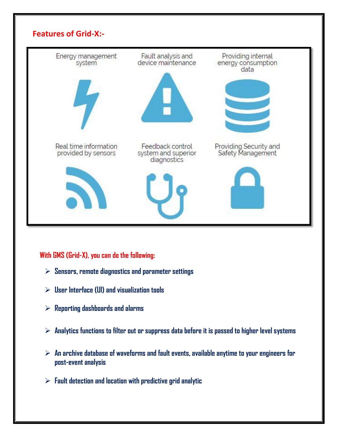

## **With GMS (Grid-X), you can do the following:**

- **Sensors, remote diagnostics and parameter settings**
- **User Interface (UI) and visualization tools**
- **Reporting dashboards and alarms**
- **Analytics functions to filter out or suppress data before it is passed to higher level systems**
- **An archive database of waveforms and fault events, available anytime to your engineers for post-event analysis**
- **Fault detection and location with predictive grid analytic**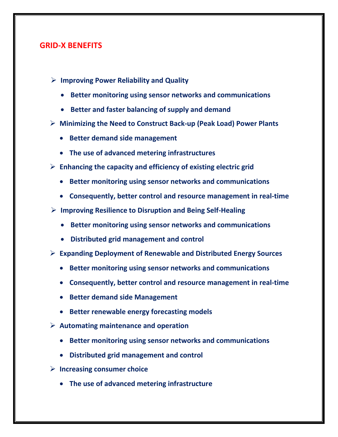## **GRID-X BENEFITS**

- **Improving Power Reliability and Quality**
	- **Better monitoring using sensor networks and communications**
	- **Better and faster balancing of supply and demand**
- **Minimizing the Need to Construct Back-up (Peak Load) Power Plants**
	- **Better demand side management**
	- **The use of advanced metering infrastructures**
- **Enhancing the capacity and efficiency of existing electric grid**
	- **Better monitoring using sensor networks and communications**
	- **Consequently, better control and resource management in real-time**
- **Improving Resilience to Disruption and Being Self-Healing**
	- **Better monitoring using sensor networks and communications**
	- **Distributed grid management and control**
- **Expanding Deployment of Renewable and Distributed Energy Sources**
	- **Better monitoring using sensor networks and communications**
	- **Consequently, better control and resource management in real-time**
	- **Better demand side Management**
	- **Better renewable energy forecasting models**
- **Automating maintenance and operation**
	- **Better monitoring using sensor networks and communications**
	- **Distributed grid management and control**
- **Increasing consumer choice**
	- **The use of advanced metering infrastructure**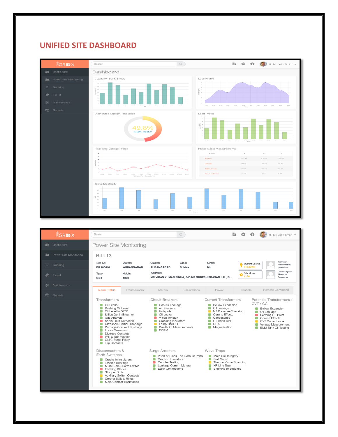## **UNIFIED SITE DASHBOARD**